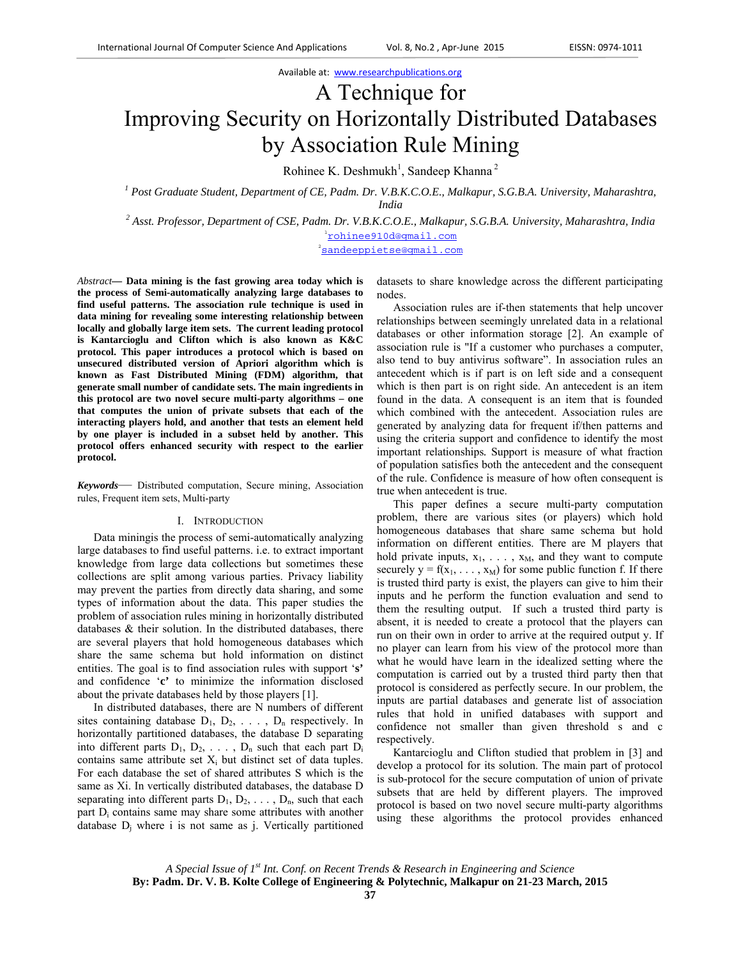# A Technique for Improving Security on Horizontally Distributed Databases by Association Rule Mining

Rohinee K. Deshmukh<sup>1</sup>, Sandeep Khanna<sup>2</sup>

<sup>1</sup> Post Graduate Student, Department of CE, Padm. Dr. V.B.K.C.O.E., Malkapur, S.G.B.A. University, Maharashtra, *India 2 Asst. Professor, Department of CSE, Padm. Dr. V.B.K.C.O.E., Malkapur, S.G.B.A. University, Maharashtra, India* 

1chinee910d@gmail.com

2 sandeeppietse@gmail.com

*Abstract***— Data mining is the fast growing area today which is the process of Semi-automatically analyzing large databases to find useful patterns. The association rule technique is used in data mining for revealing some interesting relationship between locally and globally large item sets. The current leading protocol is Kantarcioglu and Clifton which is also known as K&C protocol. This paper introduces a protocol which is based on unsecured distributed version of Apriori algorithm which is known as Fast Distributed Mining (FDM) algorithm, that generate small number of candidate sets. The main ingredients in this protocol are two novel secure multi-party algorithms – one that computes the union of private subsets that each of the interacting players hold, and another that tests an element held by one player is included in a subset held by another. This protocol offers enhanced security with respect to the earlier protocol.** 

*Keywords*— Distributed computation, Secure mining, Association rules, Frequent item sets, Multi-party

#### I. INTRODUCTION

Data miningis the process of semi-automatically analyzing large databases to find useful patterns. i.e. to extract important knowledge from large data collections but sometimes these collections are split among various parties. Privacy liability may prevent the parties from directly data sharing, and some types of information about the data. This paper studies the problem of association rules mining in horizontally distributed databases & their solution. In the distributed databases, there are several players that hold homogeneous databases which share the same schema but hold information on distinct entities. The goal is to find association rules with support '**s'** and confidence '**c'** to minimize the information disclosed about the private databases held by those players [1].

In distributed databases, there are N numbers of different sites containing database  $D_1, D_2, \ldots, D_n$  respectively. In horizontally partitioned databases, the database D separating into different parts  $D_1, D_2, \ldots, D_n$  such that each part  $D_i$ contains same attribute set  $X_i$  but distinct set of data tuples. For each database the set of shared attributes S which is the same as Xi. In vertically distributed databases, the database D separating into different parts  $D_1, D_2, \ldots, D_n$ , such that each part D<sub>i</sub> contains same may share some attributes with another database  $D_i$  where i is not same as j. Vertically partitioned

datasets to share knowledge across the different participating nodes.

Association rules are if-then statements that help uncover relationships between seemingly unrelated data in a relational databases or other information storage [2]. An example of association rule is "If a customer who purchases a computer, also tend to buy antivirus software". In association rules an antecedent which is if part is on left side and a consequent which is then part is on right side. An antecedent is an item found in the data. A consequent is an item that is founded which combined with the antecedent. Association rules are generated by analyzing data for frequent if/then patterns and using the criteria support and confidence to identify the most important relationships*.* Support is measure of what fraction of population satisfies both the antecedent and the consequent of the rule. Confidence is measure of how often consequent is true when antecedent is true.

This paper defines a secure multi-party computation problem, there are various sites (or players) which hold homogeneous databases that share same schema but hold information on different entities. There are M players that hold private inputs,  $x_1, \ldots, x_M$ , and they want to compute securely  $y = f(x_1, \ldots, x_M)$  for some public function f. If there is trusted third party is exist, the players can give to him their inputs and he perform the function evaluation and send to them the resulting output. If such a trusted third party is absent, it is needed to create a protocol that the players can run on their own in order to arrive at the required output y. If no player can learn from his view of the protocol more than what he would have learn in the idealized setting where the computation is carried out by a trusted third party then that protocol is considered as perfectly secure. In our problem, the inputs are partial databases and generate list of association rules that hold in unified databases with support and confidence not smaller than given threshold s and c respectively.

Kantarcioglu and Clifton studied that problem in [3] and develop a protocol for its solution. The main part of protocol is sub-protocol for the secure computation of union of private subsets that are held by different players. The improved protocol is based on two novel secure multi-party algorithms using these algorithms the protocol provides enhanced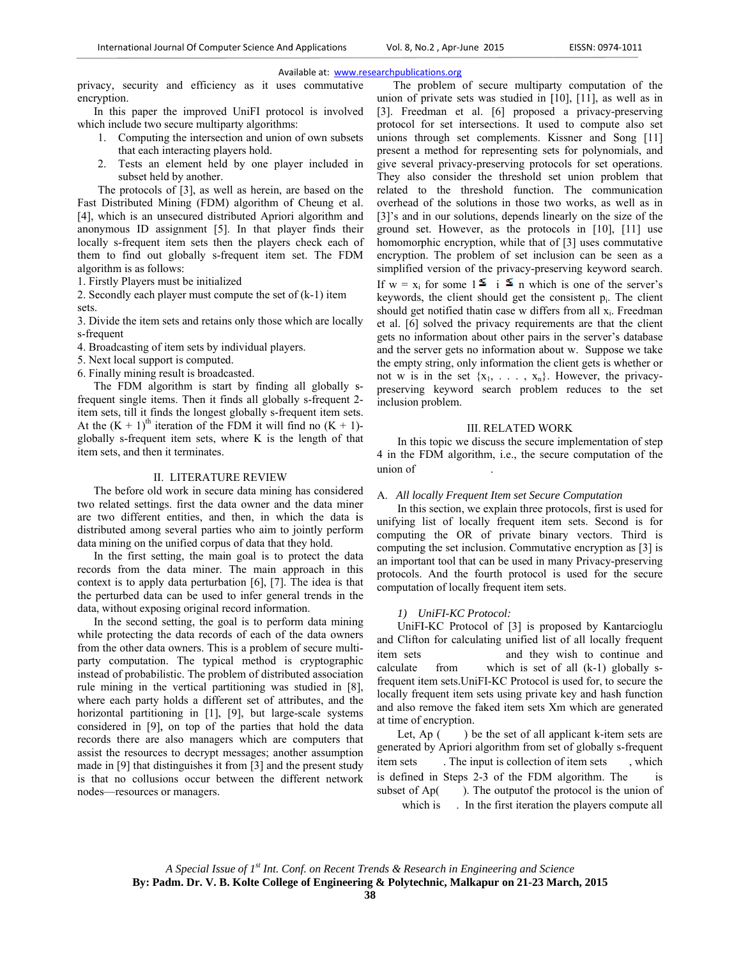privacy, security and efficiency as it uses commutative encryption.

In this paper the improved UniFI protocol is involved which include two secure multiparty algorithms:

- 1. Computing the intersection and union of own subsets that each interacting players hold.
- Tests an element held by one player included in 2. subset held by another.

The protocols of [3], as well as herein, are based on the Fast Distributed Mining (FDM) algorithm of Cheung et al. [4], which is an unsecured distributed Apriori algorithm and anonymous ID assignment [5]. In that player finds their locally s-frequent item sets then the players check each of them to find out globally s-frequent item set. The FDM algorithm is as follows:

1. Firstly Players must be initialized

2. Secondly each player must compute the set of  $(k-1)$  item sets.

3. Divide the item sets and retains only those which are locally s-frequent

4. Broadcasting of item sets by individual players.

- 5. Next local support is computed.
- 6. Finally mining result is broadcasted.

The FDM algorithm is start by finding all globally sfrequent single items. Then it finds all globally s-frequent 2item sets, till it finds the longest globally s-frequent item sets. At the  $(K + 1)$ <sup>th</sup> iteration of the FDM it will find no  $(K + 1)$ globally s-frequent item sets, where K is the length of that item sets, and then it terminates.

#### **II. LITERATURE REVIEW**

The before old work in secure data mining has considered two related settings. first the data owner and the data miner are two different entities, and then, in which the data is distributed among several parties who aim to jointly perform data mining on the unified corpus of data that they hold.

In the first setting, the main goal is to protect the data records from the data miner. The main approach in this context is to apply data perturbation  $[6]$ ,  $[7]$ . The idea is that the perturbed data can be used to infer general trends in the data, without exposing original record information.

In the second setting, the goal is to perform data mining while protecting the data records of each of the data owners from the other data owners. This is a problem of secure multiparty computation. The typical method is cryptographic instead of probabilistic. The problem of distributed association rule mining in the vertical partitioning was studied in [8], where each party holds a different set of attributes, and the horizontal partitioning in [1], [9], but large-scale systems considered in [9], on top of the parties that hold the data records there are also managers which are computers that assist the resources to decrypt messages; another assumption made in [9] that distinguishes it from [3] and the present study is that no collusions occur between the different network nodes-resources or managers.

The problem of secure multiparty computation of the union of private sets was studied in  $[10]$ ,  $[11]$ , as well as in [3]. Freedman et al. [6] proposed a privacy-preserving protocol for set intersections. It used to compute also set unions through set complements. Kissner and Song [11] present a method for representing sets for polynomials, and give several privacy-preserving protocols for set operations. They also consider the threshold set union problem that related to the threshold function. The communication overhead of the solutions in those two works, as well as in [3]'s and in our solutions, depends linearly on the size of the ground set. However, as the protocols in [10], [11] use homomorphic encryption, while that of [3] uses commutative encryption. The problem of set inclusion can be seen as a simplified version of the privacy-preserving keyword search. If  $w = x_i$  for some  $1 \leq i \leq n$  which is one of the server's keywords, the client should get the consistent  $p_i$ . The client should get notified thatin case w differs from all x<sub>i</sub>. Freedman et al. [6] solved the privacy requirements are that the client gets no information about other pairs in the server's database and the server gets no information about w. Suppose we take the empty string, only information the client gets is whether or not w is in the set  $\{x_1, \ldots, x_n\}$ . However, the privacypreserving keyword search problem reduces to the set inclusion problem.

#### **III. RELATED WORK**

In this topic we discuss the secure implementation of step 4 in the FDM algorithm, i.e., the secure computation of the union of

## A. All locally Frequent Item set Secure Computation

In this section, we explain three protocols, first is used for unifying list of locally frequent item sets. Second is for computing the OR of private binary vectors. Third is computing the set inclusion. Commutative encryption as [3] is an important tool that can be used in many Privacy-preserving protocols. And the fourth protocol is used for the secure computation of locally frequent item sets.

# 1) UniFI-KC Protocol:

UniFI-KC Protocol of [3] is proposed by Kantarcioglu and Clifton for calculating unified list of all locally frequent item sets and they wish to continue and which is set of all  $(k-1)$  globally scalculate from frequent item sets. UniFI-KC Protocol is used for, to secure the locally frequent item sets using private key and hash function and also remove the faked item sets Xm which are generated at time of encryption.

Let, Ap $($ ) be the set of all applicant k-item sets are generated by Apriori algorithm from set of globally s-frequent , which . The input is collection of item sets item sets is defined in Steps 2-3 of the FDM algorithm. The  $i_{\rm S}$ ). The output f the protocol is the union of subset of Ap( which is . In the first iteration the players compute all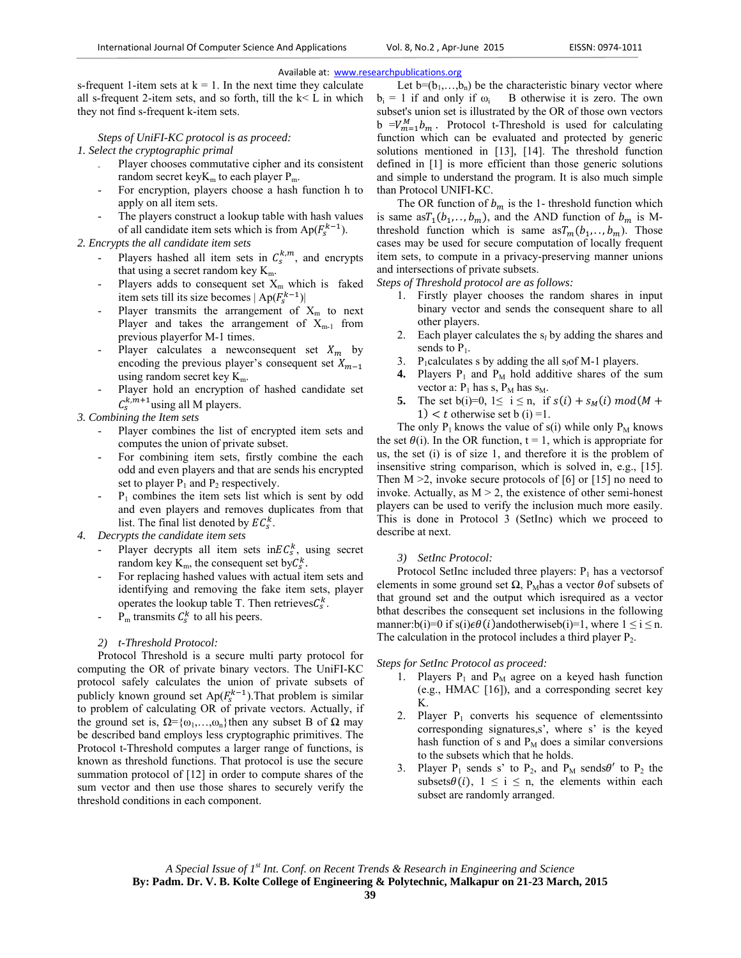s-frequent 1-item sets at  $k = 1$ . In the next time they calculate all s-frequent 2-item sets, and so forth, till the k< L in which they not find s-frequent k-item sets.

*Steps of UniFI-KC protocol is as proceed:* 

*1. Select the cryptographic primal* 

- Player chooses commutative cipher and its consistent random secret key $K_m$  to each player  $P_m$ .
- For encryption, players choose a hash function h to apply on all item sets.
- The players construct a lookup table with hash values of all candidate item sets which is from  $Ap(F_s^{k-1})$ .

*2. Encrypts the all candidate item sets* 

- Players hashed all item sets in  $C_5^{k,m}$ , and encrypts that using a secret random key  $K_m$ .
- Players adds to consequent set  $X_m$  which is faked item sets till its size becomes  $|Ap(F_s^{k-1})|$
- Player transmits the arrangement of  $X<sub>m</sub>$  to next Player and takes the arrangement of  $X_{m-1}$  from previous playerfor M-1 times.
- Player calculates a newconsequent set  $X_m$  by encoding the previous player's consequent set  $X_{m-1}$ using random secret key Km.
- Player hold an encryption of hashed candidate set  $C_s^{k,m+1}$ using all M players.

*3. Combining the Item sets* 

- Player combines the list of encrypted item sets and computes the union of private subset.
- For combining item sets, firstly combine the each odd and even players and that are sends his encrypted set to player  $P_1$  and  $P_2$  respectively.
- $P_1$  combines the item sets list which is sent by odd and even players and removes duplicates from that list. The final list denoted by  $EC_s^k$ .
- *4. Decrypts the candidate item sets* 
	- Player decrypts all item sets in $EC_s^k$ , using secret random key  $K_m$ , the consequent set by $C_s^k$ .
	- For replacing hashed values with actual item sets and identifying and removing the fake item sets, player operates the lookup table T. Then retrieves $C_s^k$ .
	- $P_m$  transmits  $C_s^k$  to all his peers.

# *2) t-Threshold Protocol:*

Protocol Threshold is a secure multi party protocol for computing the OR of private binary vectors. The UniFI-KC protocol safely calculates the union of private subsets of publicly known ground set  $Ap(F_s^{k-1})$ . That problem is similar to problem of calculating OR of private vectors. Actually, if the ground set is,  $\Omega = {\omega_1, \ldots, \omega_n}$ then any subset B of  $\Omega$  may be described band employs less cryptographic primitives. The Protocol t-Threshold computes a larger range of functions, is known as threshold functions. That protocol is use the secure summation protocol of [12] in order to compute shares of the sum vector and then use those shares to securely verify the threshold conditions in each component.

Let  $b=(b_1,...,b_n)$  be the characteristic binary vector where  $b_i = 1$  if and only if  $\omega_i$  B otherwise it is zero. The own subset's union set is illustrated by the OR of those own vectors  $b = V_{m=1}^M b_m$ . Protocol t-Threshold is used for calculating function which can be evaluated and protected by generic solutions mentioned in [13], [14]. The threshold function defined in [1] is more efficient than those generic solutions and simple to understand the program. It is also much simple than Protocol UNIFI-KC.

The OR function of  $b_m$  is the 1- threshold function which is same as  $T_1(b_1, \ldots, b_m)$ , and the AND function of  $b_m$  is Mthreshold function which is same  $\alpha T_m(b_1, \ldots, b_m)$ . Those cases may be used for secure computation of locally frequent item sets, to compute in a privacy-preserving manner unions and intersections of private subsets.

*Steps of Threshold protocol are as follows:* 

- 1. Firstly player chooses the random shares in input binary vector and sends the consequent share to all other players.
- 2. Each player calculates the s*l* by adding the shares and sends to  $P_1$ .
- 3. P1calculates s by adding the all s*l*of M-1 players.
- **4.** Players  $P_1$  and  $P_M$  hold additive shares of the sum vector a:  $P_1$  has s,  $P_M$  has  $s_M$ .
- **5.** The set b(i)=0,  $1 \le i \le n$ , if  $s(i) + s_M(i) \mod M +$ 1)  $lt$  t otherwise set b (i) =1.

The only  $P_1$  knows the value of s(i) while only  $P_M$  knows the set  $\theta(i)$ . In the OR function, t = 1, which is appropriate for us, the set (i) is of size 1, and therefore it is the problem of insensitive string comparison, which is solved in, e.g., [15]. Then  $M > 2$ , invoke secure protocols of [6] or [15] no need to invoke. Actually, as  $M > 2$ , the existence of other semi-honest players can be used to verify the inclusion much more easily. This is done in Protocol 3 (SetInc) which we proceed to describe at next.

## *3) SetInc Protocol:*

Protocol SetInc included three players:  $P_1$  has a vectorsof elements in some ground set  $\Omega$ , P<sub>M</sub>has a vector  $\theta$  of subsets of that ground set and the output which isrequired as a vector bthat describes the consequent set inclusions in the following manner:b(i)=0 if s(i) $\epsilon \theta(i)$ andotherwiseb(i)=1, where  $1 \le i \le n$ . The calculation in the protocol includes a third player  $P_2$ .

## *Steps for SetInc Protocol as proceed:*

- 1. Players  $P_1$  and  $P_M$  agree on a keyed hash function (e.g., HMAC [16]), and a corresponding secret key K.
- 2. Player  $P_1$  converts his sequence of elementssinto corresponding signatures,s', where s' is the keyed hash function of s and  $P_M$  does a similar conversions to the subsets which that he holds.
- 3. Player  $P_1$  sends s' to  $P_2$ , and  $P_M$  sends $\theta'$  to  $P_2$  the subsets  $\theta(i)$ ,  $1 \leq i \leq n$ , the elements within each subset are randomly arranged.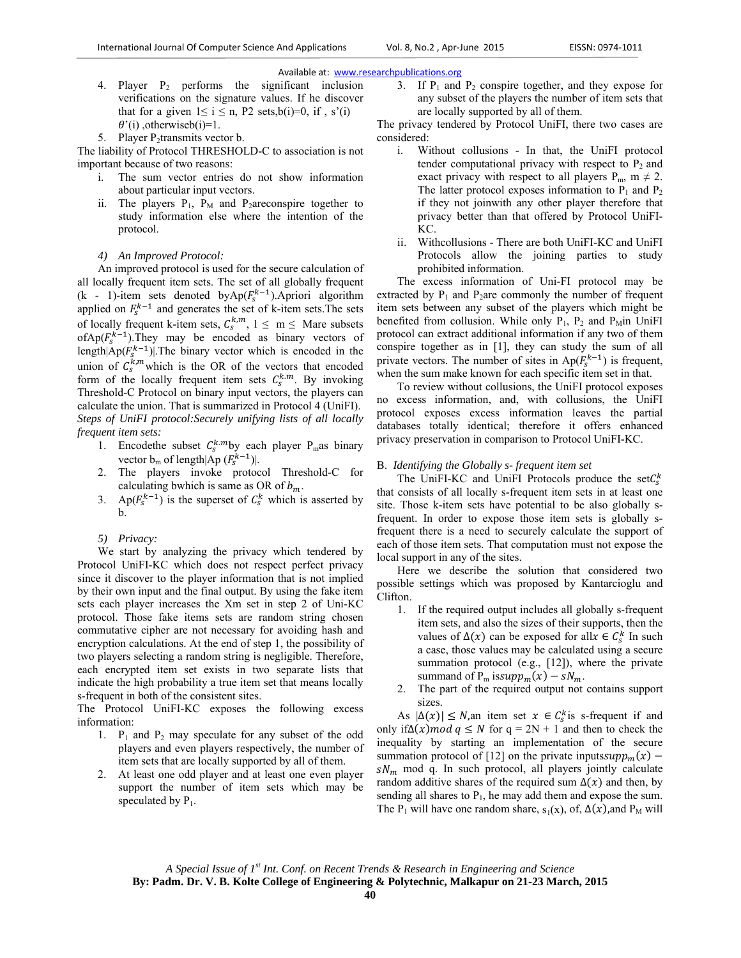- 4. Player  $P_2$  performs the significant inclusion verifications on the signature values. If he discover that for a given  $1 \le i \le n$ , P2 sets,b(i)=0, if, s'(i)  $\theta'(i)$ , otherwiseb(i)=1.
- 5. Player  $P_2$ transmits vector b.

The liability of Protocol THRESHOLD-C to association is not important because of two reasons:

- i. The sum vector entries do not show information about particular input vectors.
- ii. The players  $P_1$ ,  $P_M$  and P<sub>2</sub>areconspire together to study information else where the intention of the protocol.
- *4) An Improved Protocol:*

An improved protocol is used for the secure calculation of all locally frequent item sets. The set of all globally frequent (k - 1)-item sets denoted by $Ap(F_s^{k-1})$ . Apriori algorithm applied on  $F_s^{k-1}$  and generates the set of k-item sets. The sets of locally frequent k-item sets,  $C_s^{k,m}$ ,  $1 \le m \le M$ are subsets ofAp( $F_s^{k-1}$ ). They may be encoded as binary vectors of length $|Ap(F_s^{k-1})|$ . The binary vector which is encoded in the union of  $C_s^{k,m}$  which is the OR of the vectors that encoded form of the locally frequent item sets  $C_s^{k,m}$ . By invoking Threshold-C Protocol on binary input vectors, the players can calculate the union. That is summarized in Protocol 4 (UniFI). *Steps of UniFI protocol:Securely unifying lists of all locally frequent item sets:* 

- 1. Encodethe subset  $C_s^{k,m}$ by each player P<sub>m</sub>as binary vector  $b_m$  of length $|Ap(F_s^{k-1})|$ .
- 2. The players invoke protocol Threshold-C for calculating bwhich is same as OR of  $b_m$ .
- 3. Ap( $F_s^{k-1}$ ) is the superset of  $C_s^k$  which is asserted by b.
- *5) Privacy:*

We start by analyzing the privacy which tendered by Protocol UniFI-KC which does not respect perfect privacy since it discover to the player information that is not implied by their own input and the final output. By using the fake item sets each player increases the Xm set in step 2 of Uni-KC protocol. Those fake items sets are random string chosen commutative cipher are not necessary for avoiding hash and encryption calculations. At the end of step 1, the possibility of two players selecting a random string is negligible. Therefore, each encrypted item set exists in two separate lists that indicate the high probability a true item set that means locally s-frequent in both of the consistent sites.

The Protocol UniFI-KC exposes the following excess information:

- 1.  $P_1$  and  $P_2$  may speculate for any subset of the odd players and even players respectively, the number of item sets that are locally supported by all of them.
- 2. At least one odd player and at least one even player support the number of item sets which may be speculated by  $P_1$ .

3. If  $P_1$  and  $P_2$  conspire together, and they expose for any subset of the players the number of item sets that are locally supported by all of them.

The privacy tendered by Protocol UniFI, there two cases are considered:

- i. Without collusions In that, the UniFI protocol tender computational privacy with respect to  $P_2$  and exact privacy with respect to all players  $P_m$ ,  $m \neq 2$ . The latter protocol exposes information to  $P_1$  and  $P_2$ if they not joinwith any other player therefore that privacy better than that offered by Protocol UniFI-KC.
- ii. Withcollusions There are both UniFI-KC and UniFI Protocols allow the joining parties to study prohibited information.

The excess information of Uni-FI protocol may be extracted by  $P_1$  and  $P_2$ are commonly the number of frequent item sets between any subset of the players which might be benefited from collusion. While only  $P_1$ ,  $P_2$  and  $P_M$ in UniFI protocol can extract additional information if any two of them conspire together as in [1], they can study the sum of all private vectors. The number of sites in  $Ap(F_s^{k-1})$  is frequent, when the sum make known for each specific item set in that.

To review without collusions, the UniFI protocol exposes no excess information, and, with collusions, the UniFI protocol exposes excess information leaves the partial databases totally identical; therefore it offers enhanced privacy preservation in comparison to Protocol UniFI-KC.

#### B. *Identifying the Globally s- frequent item set*

The UniFI-KC and UniFI Protocols produce the set $C_s^k$ that consists of all locally s-frequent item sets in at least one site. Those k-item sets have potential to be also globally sfrequent. In order to expose those item sets is globally sfrequent there is a need to securely calculate the support of each of those item sets. That computation must not expose the local support in any of the sites.

Here we describe the solution that considered two possible settings which was proposed by Kantarcioglu and Clifton.

- 1. If the required output includes all globally s-frequent item sets, and also the sizes of their supports, then the values of  $\Delta(x)$  can be exposed for all $x \in C_s^k$  In such a case, those values may be calculated using a secure summation protocol (e.g., [12]), where the private summand of  $P_m$  issupp<sub>m</sub> $(x) - sN_m$ .
- 2. The part of the required output not contains support sizes.

As  $|\Delta(x)| \leq N$ ,an item set  $x \in C_s^k$  is s-frequent if and only if∆(x)*mod*  $q \leq N$  for  $q = 2N + 1$  and then to check the inequality by starting an implementation of the secure summation protocol of [12] on the private inputs $supp_m(x)$  –  $sN_m$  mod q. In such protocol, all players jointly calculate random additive shares of the required sum  $\Delta(x)$  and then, by sending all shares to  $P_1$ , he may add them and expose the sum. The P<sub>1</sub> will have one random share,  $s_1(x)$ , of,  $\Delta(x)$ , and P<sub>M</sub> will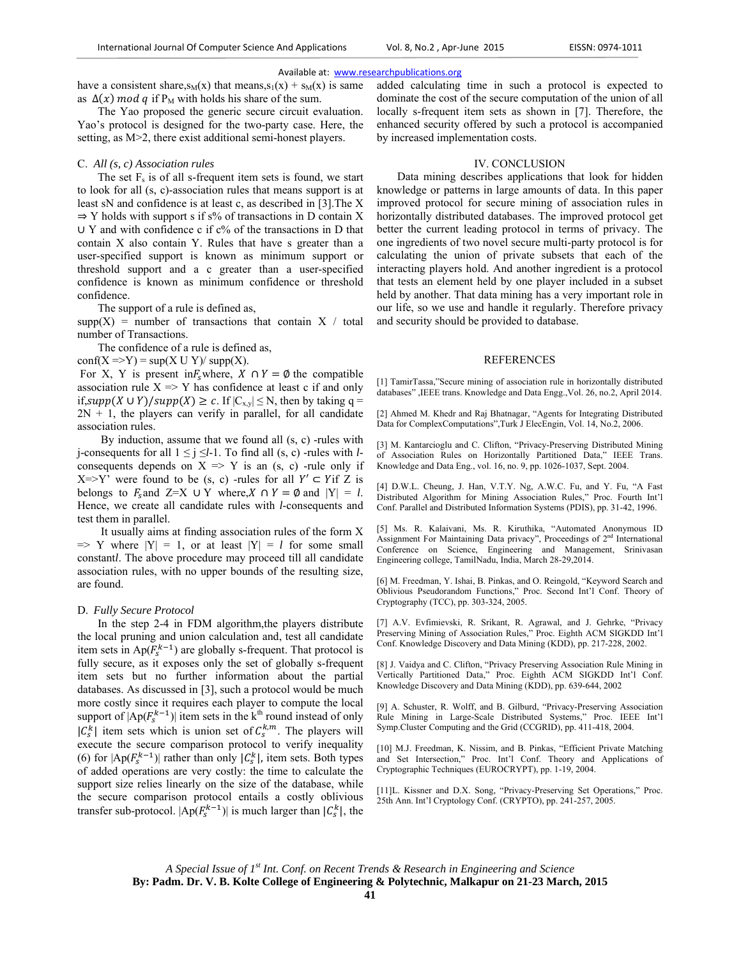have a consistent share,  $s_M(x)$  that means,  $s_1(x) + s_M(x)$  is same as  $\Delta(x)$  mod q if P<sub>M</sub> with holds his share of the sum.

The Yao proposed the generic secure circuit evaluation. Yao's protocol is designed for the two-party case. Here, the setting, as M>2, there exist additional semi-honest players.

#### C. *All (s, c) Association rules*

The set  $F_s$  is of all s-frequent item sets is found, we start to look for all (s, c)-association rules that means support is at least sN and confidence is at least c, as described in [3].The X  $\Rightarrow$  Y holds with support s if s% of transactions in D contain X  $\cup$  Y and with confidence c if  $c\%$  of the transactions in D that contain X also contain Y. Rules that have s greater than a user-specified support is known as minimum support or threshold support and a c greater than a user-specified confidence is known as minimum confidence or threshold confidence.

The support of a rule is defined as,

 $supp(X) = number of transactions that contain X / total$ number of Transactions.

The confidence of a rule is defined as,

 $conf(X \Rightarrow Y) = sup(X \cup Y)/ supp(X)$ .

For X, Y is present in $F_s$  where,  $X \cap Y = \emptyset$  the compatible association rule  $X \Rightarrow Y$  has confidence at least c if and only if, supp(X  $\cup$  Y)/supp(X)  $\geq$  c. If  $|C_{x,y}| \leq N$ , then by taking q =  $2N + 1$ , the players can verify in parallel, for all candidate association rules.

By induction, assume that we found all (s, c) -rules with j-consequents for all  $1 \le j \le l-1$ . To find all (s, c) -rules with *l*consequents depends on  $X \implies Y$  is an  $(s, c)$  -rule only if  $X=\{Y' \text{ were found to be } (s, c) \text{ -rules for all } Y' \subset Y \text{ if } Z \text{ is }$ belongs to  $F_s$  and  $Z=X \cup Y$  where,  $X \cap Y = \emptyset$  and  $|Y| = l$ . Hence, we create all candidate rules with *l*-consequents and test them in parallel.

It usually aims at finding association rules of the form X  $\Rightarrow$  Y where  $|Y| = 1$ , or at least  $|Y| = l$  for some small constant*l*. The above procedure may proceed till all candidate association rules, with no upper bounds of the resulting size, are found.

# D. *Fully Secure Protocol*

In the step 2-4 in FDM algorithm,the players distribute the local pruning and union calculation and, test all candidate item sets in  $Ap(F_s^{k-1})$  are globally s-frequent. That protocol is fully secure, as it exposes only the set of globally s-frequent item sets but no further information about the partial databases. As discussed in [3], such a protocol would be much more costly since it requires each player to compute the local support of  $|Ap(F_s^{k-1})|$  item sets in the k<sup>th</sup> round instead of only  $|C_s^k|$  item sets which is union set of  $C_s^{k,m}$ . The players will execute the secure comparison protocol to verify inequality (6) for  $|Ap(F_s^{k-1})|$  rather than only  $|C_s^k|$ , item sets. Both types of added operations are very costly: the time to calculate the support size relies linearly on the size of the database, while the secure comparison protocol entails a costly oblivious transfer sub-protocol.  $|Ap(F_s^{k-1})|$  is much larger than  $|C_s^k|$ , the added calculating time in such a protocol is expected to dominate the cost of the secure computation of the union of all locally s-frequent item sets as shown in [7]. Therefore, the enhanced security offered by such a protocol is accompanied by increased implementation costs.

# IV. CONCLUSION

Data mining describes applications that look for hidden knowledge or patterns in large amounts of data. In this paper improved protocol for secure mining of association rules in horizontally distributed databases. The improved protocol get better the current leading protocol in terms of privacy. The one ingredients of two novel secure multi-party protocol is for calculating the union of private subsets that each of the interacting players hold. And another ingredient is a protocol that tests an element held by one player included in a subset held by another. That data mining has a very important role in our life, so we use and handle it regularly. Therefore privacy and security should be provided to database.

#### REFERENCES

[1] TamirTassa,"Secure mining of association rule in horizontally distributed databases" ,IEEE trans. Knowledge and Data Engg.,Vol. 26, no.2, April 2014.

[2] Ahmed M. Khedr and Raj Bhatnagar, "Agents for Integrating Distributed Data for ComplexComputations",Turk J ElecEngin, Vol. 14, No.2, 2006.

[3] M. Kantarcioglu and C. Clifton, "Privacy-Preserving Distributed Mining of Association Rules on Horizontally Partitioned Data," IEEE Trans. Knowledge and Data Eng., vol. 16, no. 9, pp. 1026-1037, Sept. 2004.

[4] D.W.L. Cheung, J. Han, V.T.Y. Ng, A.W.C. Fu, and Y. Fu, "A Fast Distributed Algorithm for Mining Association Rules," Proc. Fourth Int'l Conf. Parallel and Distributed Information Systems (PDIS), pp. 31-42, 1996.

[5] Ms. R. Kalaivani, Ms. R. Kiruthika, "Automated Anonymous ID Assignment For Maintaining Data privacy", Proceedings of 2<sup>nd</sup> International Conference on Science, Engineering and Management, Srinivasan Engineering college, TamilNadu, India, March 28-29,2014.

[6] M. Freedman, Y. Ishai, B. Pinkas, and O. Reingold, "Keyword Search and Oblivious Pseudorandom Functions," Proc. Second Int'l Conf. Theory of Cryptography (TCC), pp. 303-324, 2005.

[7] A.V. Evfimievski, R. Srikant, R. Agrawal, and J. Gehrke, "Privacy Preserving Mining of Association Rules," Proc. Eighth ACM SIGKDD Int'l Conf. Knowledge Discovery and Data Mining (KDD), pp. 217-228, 2002.

[8] J. Vaidya and C. Clifton, "Privacy Preserving Association Rule Mining in Vertically Partitioned Data," Proc. Eighth ACM SIGKDD Int'l Conf. Knowledge Discovery and Data Mining (KDD), pp. 639-644, 2002

[9] A. Schuster, R. Wolff, and B. Gilburd, "Privacy-Preserving Association Rule Mining in Large-Scale Distributed Systems," Proc. IEEE Int'l Symp.Cluster Computing and the Grid (CCGRID), pp. 411-418, 2004.

[10] M.J. Freedman, K. Nissim, and B. Pinkas, "Efficient Private Matching and Set Intersection," Proc. Int'l Conf. Theory and Applications of Cryptographic Techniques (EUROCRYPT), pp. 1-19, 2004.

[11]L. Kissner and D.X. Song, "Privacy-Preserving Set Operations," Proc. 25th Ann. Int'l Cryptology Conf. (CRYPTO), pp. 241-257, 2005.